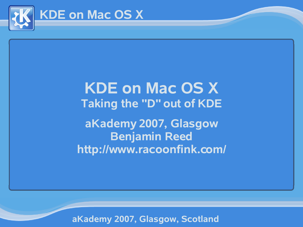

# **KDE on Mac OS X Taking the "D" out of KDE aKademy 2007, Glasgow Benjamin Reed http://www.racoonfink.com/**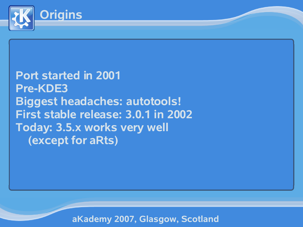

#### **Port started in 2001 Pre-KDE3 Biggest headaches: autotools! First stable release: 3.0.1 in 2002 Today: 3.5.x works very well (except for aRts)**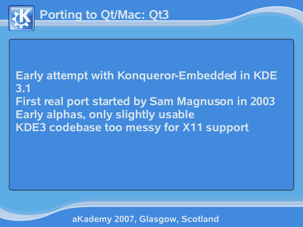

### **Early attempt with Konqueror-Embedded in KDE 3.1 First real port started by Sam Magnuson in 2003 Early alphas, only slightly usable KDE3 codebase too messy for X11 support**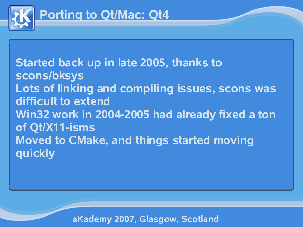

**Started back up in late 2005, thanks to scons/bksys Lots of linking and compiling issues, scons was difficult to extend Win32 work in 2004-2005 had already fixed a ton of Qt/X11-isms Moved to CMake, and things started moving quickly**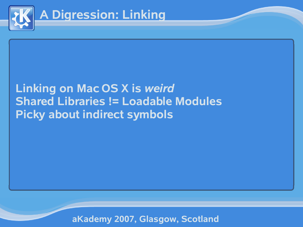

### **Linking on Mac OS X is** *weird* **Shared Libraries != Loadable Modules Picky about indirect symbols**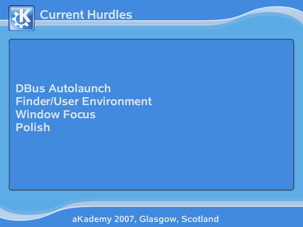

#### **DBus Autolaunch Finder/User Environment Window Focus Polish**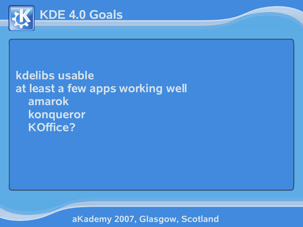

**kdelibs usable at least a few apps working well amarok konqueror KOffice?**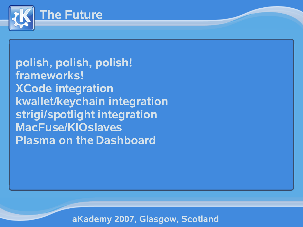

**polish, polish, polish! frameworks! XCode integration kwallet/keychain integration strigi/spotlight integration MacFuse/KIOslaves Plasma on the Dashboard**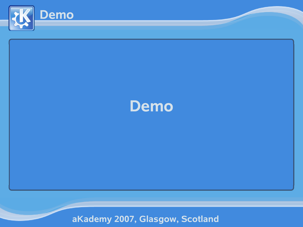

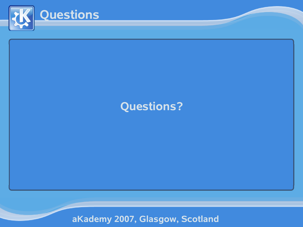